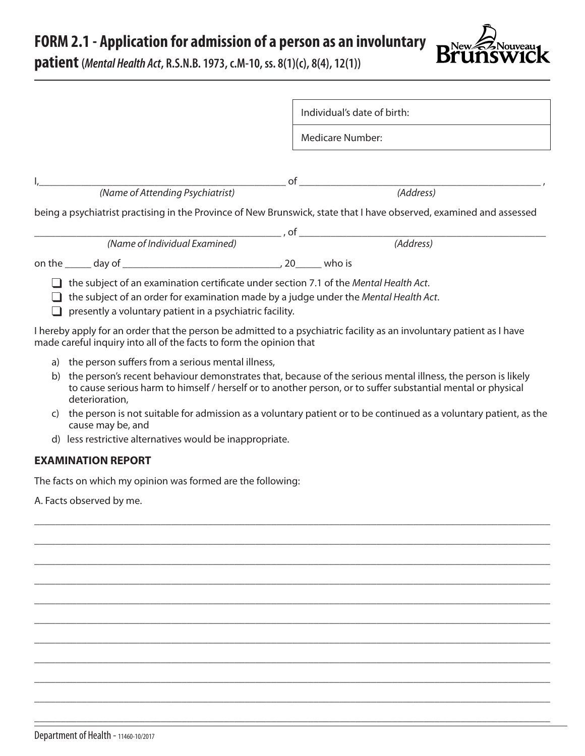**FORM 2.1 - Application for admission of a person as an involuntary** 



**patient (***Mental Health Act***, R.S.N.B. 1973, c.M-10, ss. 8(1)(c), 8(4), 12(1))**

|                                                                                                                                                                                                                                           | Individual's date of birth:                                                                                           |  |  |  |  |
|-------------------------------------------------------------------------------------------------------------------------------------------------------------------------------------------------------------------------------------------|-----------------------------------------------------------------------------------------------------------------------|--|--|--|--|
|                                                                                                                                                                                                                                           | <b>Medicare Number:</b>                                                                                               |  |  |  |  |
|                                                                                                                                                                                                                                           |                                                                                                                       |  |  |  |  |
|                                                                                                                                                                                                                                           |                                                                                                                       |  |  |  |  |
| (Name of Attending Psychiatrist)                                                                                                                                                                                                          | (Address)                                                                                                             |  |  |  |  |
|                                                                                                                                                                                                                                           | being a psychiatrist practising in the Province of New Brunswick, state that I have observed, examined and assessed   |  |  |  |  |
|                                                                                                                                                                                                                                           |                                                                                                                       |  |  |  |  |
| (Name of Individual Examined)                                                                                                                                                                                                             | (Address)                                                                                                             |  |  |  |  |
| on the day of and day of the day of the set of the day of the set of the set of the set of the set of the set o                                                                                                                           |                                                                                                                       |  |  |  |  |
| the subject of an examination certificate under section 7.1 of the Mental Health Act.<br>the subject of an order for examination made by a judge under the Mental Health Act.<br>presently a voluntary patient in a psychiatric facility. |                                                                                                                       |  |  |  |  |
| made careful inquiry into all of the facts to form the opinion that                                                                                                                                                                       | I hereby apply for an order that the person be admitted to a psychiatric facility as an involuntary patient as I have |  |  |  |  |
| a) the person suffers from a serious mental illness,                                                                                                                                                                                      |                                                                                                                       |  |  |  |  |

b) the person's recent behaviour demonstrates that, because of the serious mental illness, the person is likely to cause serious harm to himself / herself or to another person, or to suffer substantial mental or physical deterioration,

\_\_\_\_\_\_\_\_\_\_\_\_\_\_\_\_\_\_\_\_\_\_\_\_\_\_\_\_\_\_\_\_\_\_\_\_\_\_\_\_\_\_\_\_\_\_\_\_\_\_\_\_\_\_\_\_\_\_\_\_\_\_\_\_\_\_\_\_\_\_\_\_\_\_\_\_\_\_\_\_\_\_\_\_\_\_\_\_\_\_\_\_\_\_\_\_\_\_

\_\_\_\_\_\_\_\_\_\_\_\_\_\_\_\_\_\_\_\_\_\_\_\_\_\_\_\_\_\_\_\_\_\_\_\_\_\_\_\_\_\_\_\_\_\_\_\_\_\_\_\_\_\_\_\_\_\_\_\_\_\_\_\_\_\_\_\_\_\_\_\_\_\_\_\_\_\_\_\_\_\_\_\_\_\_\_\_\_\_\_\_\_\_\_\_\_\_

\_\_\_\_\_\_\_\_\_\_\_\_\_\_\_\_\_\_\_\_\_\_\_\_\_\_\_\_\_\_\_\_\_\_\_\_\_\_\_\_\_\_\_\_\_\_\_\_\_\_\_\_\_\_\_\_\_\_\_\_\_\_\_\_\_\_\_\_\_\_\_\_\_\_\_\_\_\_\_\_\_\_\_\_\_\_\_\_\_\_\_\_\_\_\_\_\_\_

\_\_\_\_\_\_\_\_\_\_\_\_\_\_\_\_\_\_\_\_\_\_\_\_\_\_\_\_\_\_\_\_\_\_\_\_\_\_\_\_\_\_\_\_\_\_\_\_\_\_\_\_\_\_\_\_\_\_\_\_\_\_\_\_\_\_\_\_\_\_\_\_\_\_\_\_\_\_\_\_\_\_\_\_\_\_\_\_\_\_\_\_\_\_\_\_\_\_

\_\_\_\_\_\_\_\_\_\_\_\_\_\_\_\_\_\_\_\_\_\_\_\_\_\_\_\_\_\_\_\_\_\_\_\_\_\_\_\_\_\_\_\_\_\_\_\_\_\_\_\_\_\_\_\_\_\_\_\_\_\_\_\_\_\_\_\_\_\_\_\_\_\_\_\_\_\_\_\_\_\_\_\_\_\_\_\_\_\_\_\_\_\_\_\_\_\_

\_\_\_\_\_\_\_\_\_\_\_\_\_\_\_\_\_\_\_\_\_\_\_\_\_\_\_\_\_\_\_\_\_\_\_\_\_\_\_\_\_\_\_\_\_\_\_\_\_\_\_\_\_\_\_\_\_\_\_\_\_\_\_\_\_\_\_\_\_\_\_\_\_\_\_\_\_\_\_\_\_\_\_\_\_\_\_\_\_\_\_\_\_\_\_\_\_\_

\_\_\_\_\_\_\_\_\_\_\_\_\_\_\_\_\_\_\_\_\_\_\_\_\_\_\_\_\_\_\_\_\_\_\_\_\_\_\_\_\_\_\_\_\_\_\_\_\_\_\_\_\_\_\_\_\_\_\_\_\_\_\_\_\_\_\_\_\_\_\_\_\_\_\_\_\_\_\_\_\_\_\_\_\_\_\_\_\_\_\_\_\_\_\_\_\_\_

\_\_\_\_\_\_\_\_\_\_\_\_\_\_\_\_\_\_\_\_\_\_\_\_\_\_\_\_\_\_\_\_\_\_\_\_\_\_\_\_\_\_\_\_\_\_\_\_\_\_\_\_\_\_\_\_\_\_\_\_\_\_\_\_\_\_\_\_\_\_\_\_\_\_\_\_\_\_\_\_\_\_\_\_\_\_\_\_\_\_\_\_\_\_\_\_\_\_

\_\_\_\_\_\_\_\_\_\_\_\_\_\_\_\_\_\_\_\_\_\_\_\_\_\_\_\_\_\_\_\_\_\_\_\_\_\_\_\_\_\_\_\_\_\_\_\_\_\_\_\_\_\_\_\_\_\_\_\_\_\_\_\_\_\_\_\_\_\_\_\_\_\_\_\_\_\_\_\_\_\_\_\_\_\_\_\_\_\_\_\_\_\_\_\_\_\_

\_\_\_\_\_\_\_\_\_\_\_\_\_\_\_\_\_\_\_\_\_\_\_\_\_\_\_\_\_\_\_\_\_\_\_\_\_\_\_\_\_\_\_\_\_\_\_\_\_\_\_\_\_\_\_\_\_\_\_\_\_\_\_\_\_\_\_\_\_\_\_\_\_\_\_\_\_\_\_\_\_\_\_\_\_\_\_\_\_\_\_\_\_\_\_\_\_\_

\_\_\_\_\_\_\_\_\_\_\_\_\_\_\_\_\_\_\_\_\_\_\_\_\_\_\_\_\_\_\_\_\_\_\_\_\_\_\_\_\_\_\_\_\_\_\_\_\_\_\_\_\_\_\_\_\_\_\_\_\_\_\_\_\_\_\_\_\_\_\_\_\_\_\_\_\_\_\_\_\_\_\_\_\_\_\_\_\_\_\_\_\_\_\_\_\_\_

- c) the person is not suitable for admission as a voluntary patient or to be continued as a voluntary patient, as the cause may be, and
- d) less restrictive alternatives would be inappropriate.

## **EXAMINATION REPORT**

The facts on which my opinion was formed are the following:

A. Facts observed by me.